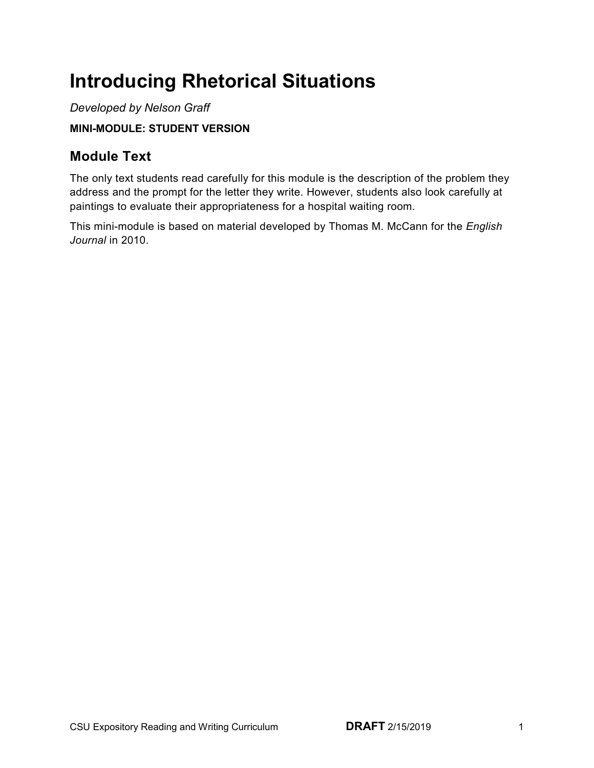# **Introducing Rhetorical Situations**

 **MINI-MODULE: STUDENT VERSION**  *Developed by Nelson Graff* 

## **Module Text**

 The only text students read carefully for this module is the description of the problem they address and the prompt for the letter they write. However, students also look carefully at paintings to evaluate their appropriateness for a hospital waiting room.

 This mini-module is based on material developed by Thomas M. McCann for the *English Journal* in 2010.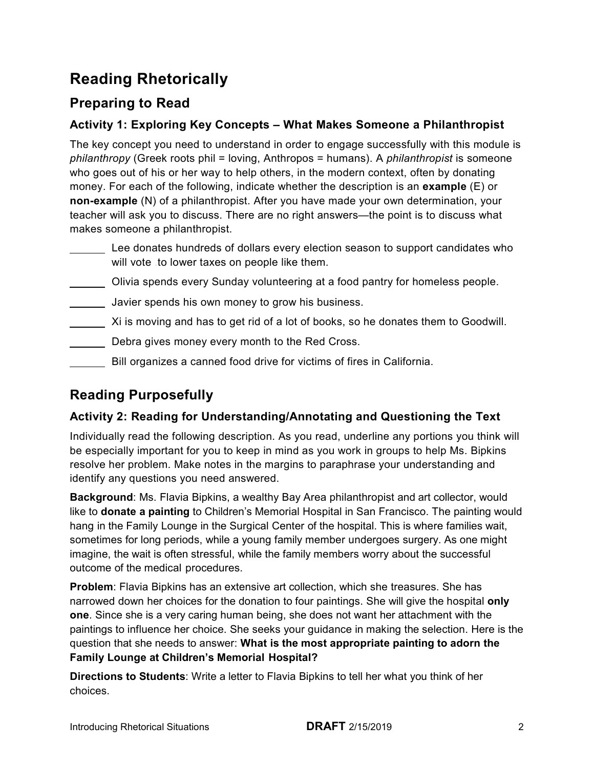## **Reading Rhetorically**

## **Preparing to Read**

#### **Activity 1: Exploring Key Concepts – What Makes Someone a Philanthropist**

 The key concept you need to understand in order to engage successfully with this module is *philanthropy* (Greek roots phil = loving, Anthropos = humans). A *philanthropist* is someone who goes out of his or her way to help others, in the modern context, often by donating money. For each of the following, indicate whether the description is an **example** (E) or **non-example** (N) of a philanthropist. After you have made your own determination, your teacher will ask you to discuss. There are no right answers—the point is to discuss what makes someone a philanthropist.

- $\overline{a}$ will vote to lower taxes on people like them. Lee donates hundreds of dollars every election season to support candidates who
- $\overline{a}$ Olivia spends every Sunday volunteering at a food pantry for homeless people.
- Javier spends his own money to grow his business.
- Xi is moving and has to get rid of a lot of books, so he donates them to Goodwill.
- $\overline{a}$ Debra gives money every month to the Red Cross.
- Bill organizes a canned food drive for victims of fires in California.

## **Reading Purposefully**

 $\overline{a}$ 

#### **Activity 2: Reading for Understanding/Annotating and Questioning the Text**

 Individually read the following description. As you read, underline any portions you think will be especially important for you to keep in mind as you work in groups to help Ms. Bipkins resolve her problem. Make notes in the margins to paraphrase your understanding and identify any questions you need answered.

 **Background**: Ms. Flavia Bipkins, a wealthy Bay Area philanthropist and art collector, would like to **donate a painting** to Children's Memorial Hospital in San Francisco. The painting would hang in the Family Lounge in the Surgical Center of the hospital. This is where families wait, sometimes for long periods, while a young family member undergoes surgery. As one might imagine, the wait is often stressful, while the family members worry about the successful outcome of the medical procedures.

 **Problem**: Flavia Bipkins has an extensive art collection, which she treasures. She has narrowed down her choices for the donation to four paintings. She will give the hospital **only one**. Since she is a very caring human being, she does not want her attachment with the paintings to influence her choice. She seeks your guidance in making the selection. Here is the question that she needs to answer: **What is the most appropriate painting to adorn the Family Lounge at Children's Memorial Hospital?** 

 **Directions to Students**: Write a letter to Flavia Bipkins to tell her what you think of her choices.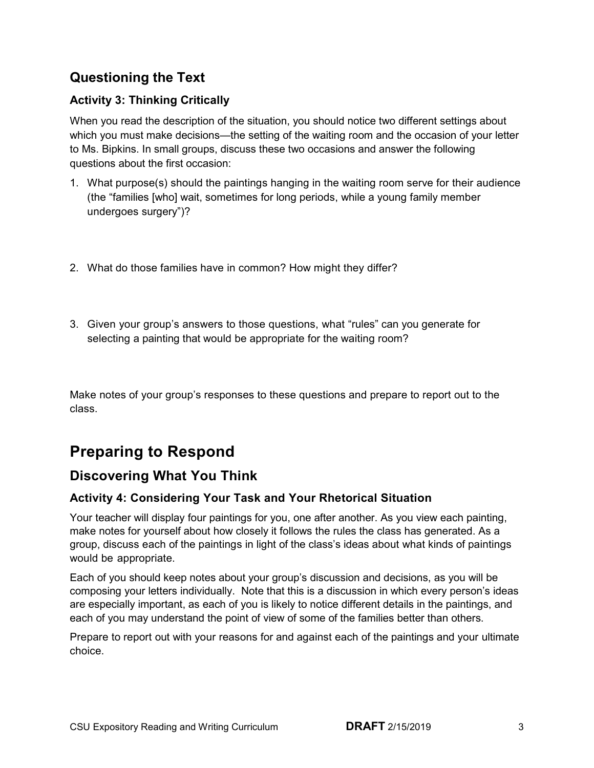### **Questioning the Text**

#### **Activity 3: Thinking Critically**

 to Ms. Bipkins. In small groups, discuss these two occasions and answer the following When you read the description of the situation, you should notice two different settings about which you must make decisions—the setting of the waiting room and the occasion of your letter questions about the first occasion:

- 1. What purpose(s) should the paintings hanging in the waiting room serve for their audience (the "families [who] wait, sometimes for long periods, while a young family member undergoes surgery")?
- 2. What do those families have in common? How might they differ?
- 3. Given your group's answers to those questions, what "rules" can you generate for selecting a painting that would be appropriate for the waiting room?

 Make notes of your group's responses to these questions and prepare to report out to the class.

## **Preparing to Respond**

### **Discovering What You Think**

#### **Activity 4: Considering Your Task and Your Rhetorical Situation**

 make notes for yourself about how closely it follows the rules the class has generated. As a group, discuss each of the paintings in light of the class's ideas about what kinds of paintings Your teacher will display four paintings for you, one after another. As you view each painting, would be appropriate.

 Each of you should keep notes about your group's discussion and decisions, as you will be composing your letters individually. Note that this is a discussion in which every person's ideas are especially important, as each of you is likely to notice different details in the paintings, and each of you may understand the point of view of some of the families better than others.

 Prepare to report out with your reasons for and against each of the paintings and your ultimate choice.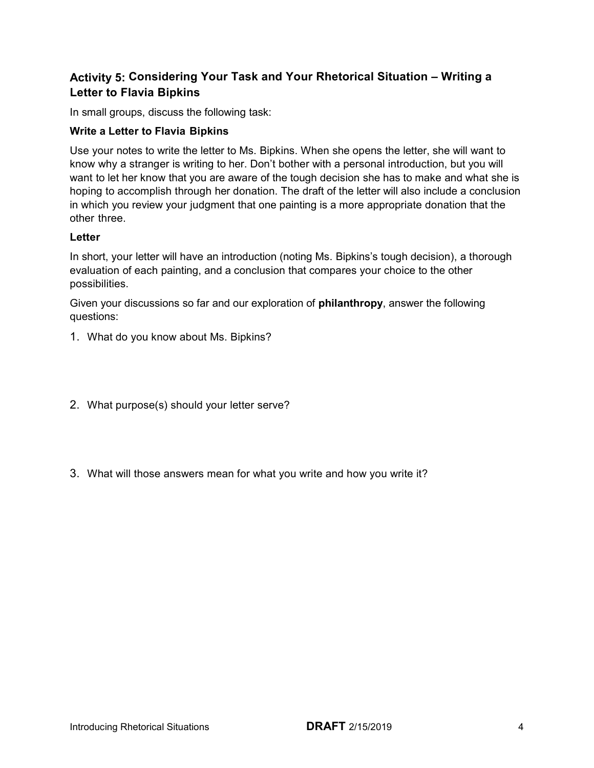#### **Activity 5: Considering Your Task and Your Rhetorical Situation – Writing a Letter to Flavia Bipkins**

In small groups, discuss the following task:

#### **Write a Letter to Flavia Bipkins**

 Use your notes to write the letter to Ms. Bipkins. When she opens the letter, she will want to know why a stranger is writing to her. Don't bother with a personal introduction, but you will want to let her know that you are aware of the tough decision she has to make and what she is in which you review your judgment that one painting is a more appropriate donation that the other three. hoping to accomplish through her donation. The draft of the letter will also include a conclusion

#### **Letter**

 evaluation of each painting, and a conclusion that compares your choice to the other In short, your letter will have an introduction (noting Ms. Bipkins's tough decision), a thorough possibilities.

 Given your discussions so far and our exploration of **philanthropy**, answer the following questions:

- 1. What do you know about Ms. Bipkins?
- 2. What purpose(s) should your letter serve?
- 3. What will those answers mean for what you write and how you write it?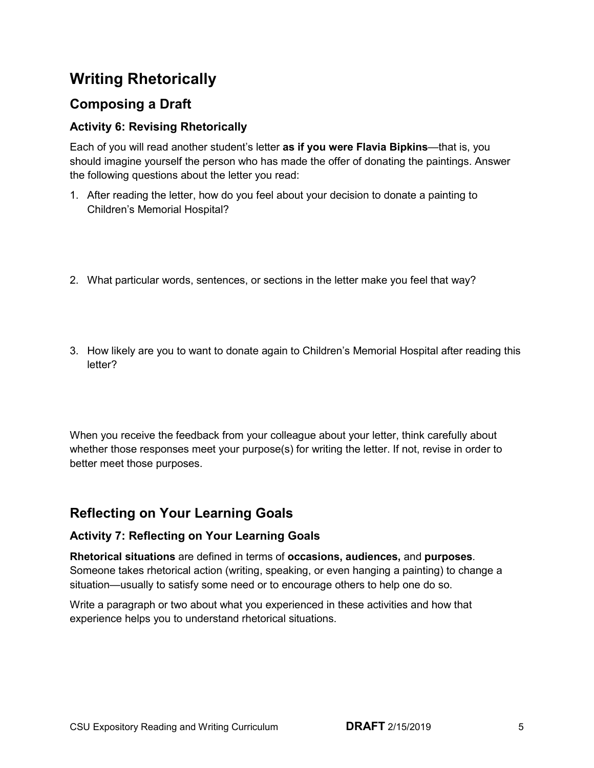## **Writing Rhetorically**

## **Composing a Draft**

#### **Activity 6: Revising Rhetorically**

Each of you will read another student's letter **as if you were Flavia Bipkins**—that is, you should imagine yourself the person who has made the offer of donating the paintings. Answer the following questions about the letter you read:

- 1. After reading the letter, how do you feel about your decision to donate a painting to Children's Memorial Hospital?
- 2. What particular words, sentences, or sections in the letter make you feel that way?
- 3. How likely are you to want to donate again to Children's Memorial Hospital after reading this letter?

 When you receive the feedback from your colleague about your letter, think carefully about whether those responses meet your purpose(s) for writing the letter. If not, revise in order to better meet those purposes.

### **Reflecting on Your Learning Goals**

#### **Activity 7: Reflecting on Your Learning Goals**

**Rhetorical situations** are defined in terms of **occasions, audiences,** and **purposes***.*  Someone takes rhetorical action (writing, speaking, or even hanging a painting) to change a situation—usually to satisfy some need or to encourage others to help one do so.

Write a paragraph or two about what you experienced in these activities and how that experience helps you to understand rhetorical situations.